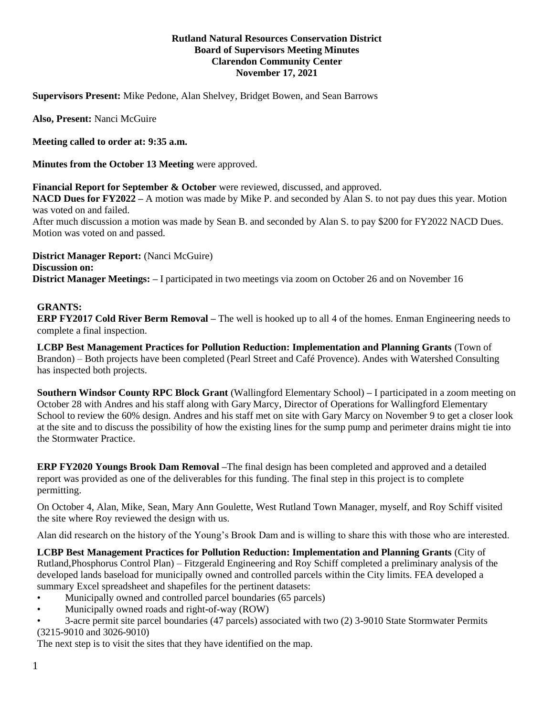## **Rutland Natural Resources Conservation District Board of Supervisors Meeting Minutes Clarendon Community Center November 17, 2021**

**Supervisors Present:** Mike Pedone, Alan Shelvey, Bridget Bowen, and Sean Barrows

**Also, Present:** Nanci McGuire

**Meeting called to order at: 9:35 a.m.**

**Minutes from the October 13 Meeting** were approved.

**Financial Report for September & October** were reviewed, discussed, and approved.

**NACD Dues for FY2022 –** A motion was made by Mike P. and seconded by Alan S. to not pay dues this year. Motion was voted on and failed.

After much discussion a motion was made by Sean B. and seconded by Alan S. to pay \$200 for FY2022 NACD Dues. Motion was voted on and passed.

**District Manager Report:** (Nanci McGuire) **Discussion on: District Manager Meetings: –** I participated in two meetings via zoom on October 26 and on November 16

## **GRANTS:**

**ERP FY2017 Cold River Berm Removal –** The well is hooked up to all 4 of the homes. Enman Engineering needs to complete a final inspection.

**LCBP Best Management Practices for Pollution Reduction: Implementation and Planning Grants** (Town of Brandon) – Both projects have been completed (Pearl Street and Café Provence). Andes with Watershed Consulting has inspected both projects.

**Southern Windsor County RPC Block Grant** (Wallingford Elementary School) – I participated in a zoom meeting on October 28 with Andres and his staff along with Gary Marcy, Director of Operations for Wallingford Elementary School to review the 60% design. Andres and his staff met on site with Gary Marcy on November 9 to get a closer look at the site and to discuss the possibility of how the existing lines for the sump pump and perimeter drains might tie into the Stormwater Practice.

**ERP FY2020 Youngs Brook Dam Removal –**The final design has been completed and approved and a detailed report was provided as one of the deliverables for this funding. The final step in this project is to complete permitting.

On October 4, Alan, Mike, Sean, Mary Ann Goulette, West Rutland Town Manager, myself, and Roy Schiff visited the site where Roy reviewed the design with us.

Alan did research on the history of the Young's Brook Dam and is willing to share this with those who are interested.

**LCBP Best Management Practices for Pollution Reduction: Implementation and Planning Grants (City of** Rutland,Phosphorus Control Plan) – Fitzgerald Engineering and Roy Schiff completed a preliminary analysis of the developed lands baseload for municipally owned and controlled parcels within the City limits. FEA developed a summary Excel spreadsheet and shapefiles for the pertinent datasets:

- Municipally owned and controlled parcel boundaries (65 parcels)
- Municipally owned roads and right-of-way (ROW)
- 3-acre permit site parcel boundaries (47 parcels) associated with two (2) 3-9010 State Stormwater Permits (3215-9010 and 3026-9010)

The next step is to visit the sites that they have identified on the map.